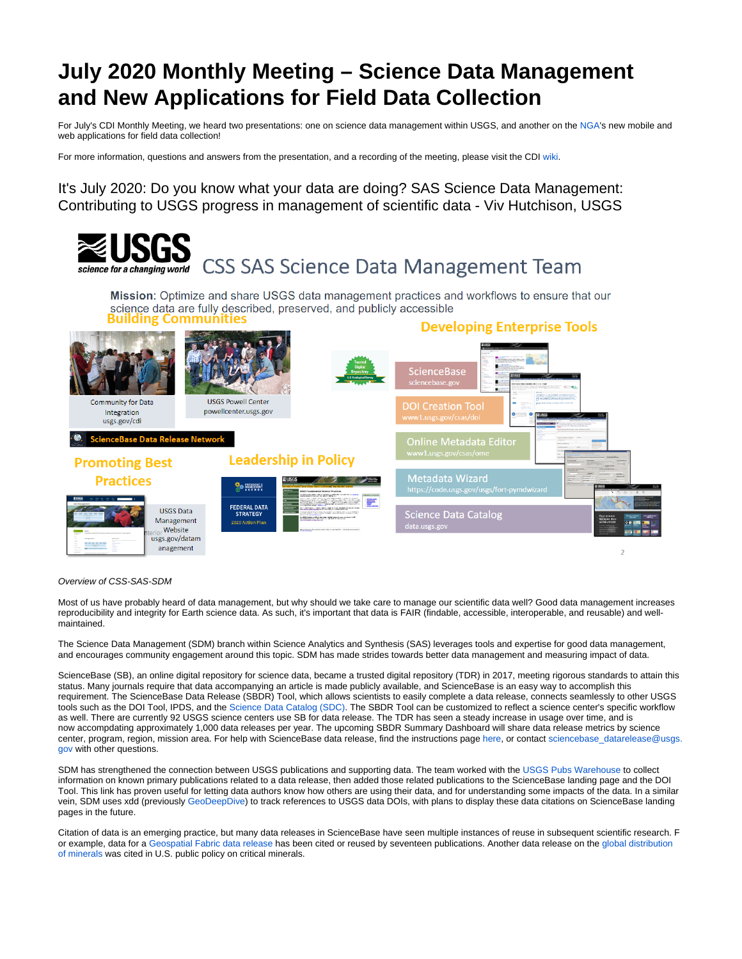## **July 2020 Monthly Meeting – Science Data Management and New Applications for Field Data Collection**

For July's CDI Monthly Meeting, we heard two presentations: one on science data management within USGS, and another on the [NGA](https://www.nga.mil/Pages/Default.aspx)'s new mobile and web applications for field data collection!

For more information, questions and answers from the presentation, and a recording of the meeting, please visit the CDI [wiki.](https://my.usgs.gov/confluence/x/rzHlJw)

It's July 2020: Do you know what your data are doing? SAS Science Data Management: Contributing to USGS progress in management of scientific data - Viv Hutchison, USGS



Overview of CSS-SAS-SDM

Most of us have probably heard of data management, but why should we take care to manage our scientific data well? Good data management increases reproducibility and integrity for Earth science data. As such, it's important that data is FAIR (findable, accessible, interoperable, and reusable) and wellmaintained.

The Science Data Management (SDM) branch within Science Analytics and Synthesis (SAS) leverages tools and expertise for good data management, and encourages community engagement around this topic. SDM has made strides towards better data management and measuring impact of data.

ScienceBase (SB), an online digital repository for science data, became a trusted digital repository (TDR) in 2017, meeting rigorous standards to attain this status. Many journals require that data accompanying an article is made publicly available, and ScienceBase is an easy way to accomplish this requirement. The ScienceBase Data Release (SBDR) Tool, which allows scientists to easily complete a data release, connects seamlessly to other USGS tools such as the DOI Tool, IPDS, and the [Science Data Catalog \(SDC\).](https://data.usgs.gov/datacatalog/) The SBDR Tool can be customized to reflect a science center's specific workflow as well. There are currently 92 USGS science centers use SB for data release. The TDR has seen a steady increase in usage over time, and is now accompdating approximately 1,000 data releases per year. The upcoming SBDR Summary Dashboard will share data release metrics by science center, program, region, mission area. For help with ScienceBase data release, find the instructions page [here,](https://www.sciencebase.gov/about/content/data-release) or contact [sciencebase\\_datarelease@usgs.](mailto:sciencebase_datarelease@usgs.gov) [gov](mailto:sciencebase_datarelease@usgs.gov) with other questions.

SDM has strengthened the connection between USGS publications and supporting data. The team worked with the [USGS Pubs Warehouse](https://pubs.er.usgs.gov/) to collect information on known primary publications related to a data release, then added those related publications to the ScienceBase landing page and the DOI Tool. This link has proven useful for letting data authors know how others are using their data, and for understanding some impacts of the data. In a similar vein, SDM uses xdd (previously [GeoDeepDive](https://geodeepdive.org/)) to track references to USGS data DOIs, with plans to display these data citations on ScienceBase landing pages in the future.

Citation of data is an emerging practice, but many data releases in ScienceBase have seen multiple instances of reuse in subsequent scientific research. F or example, data for a [Geospatial Fabric data release](https://www.sciencebase.gov/catalog/item/535eda80e4b08e65d60fc834) has been cited or reused by seventeen publications. Another data release on the global distribution [of minerals](https://doi.org/10.5066/F7GH9GQR) was cited in U.S. public policy on critical minerals.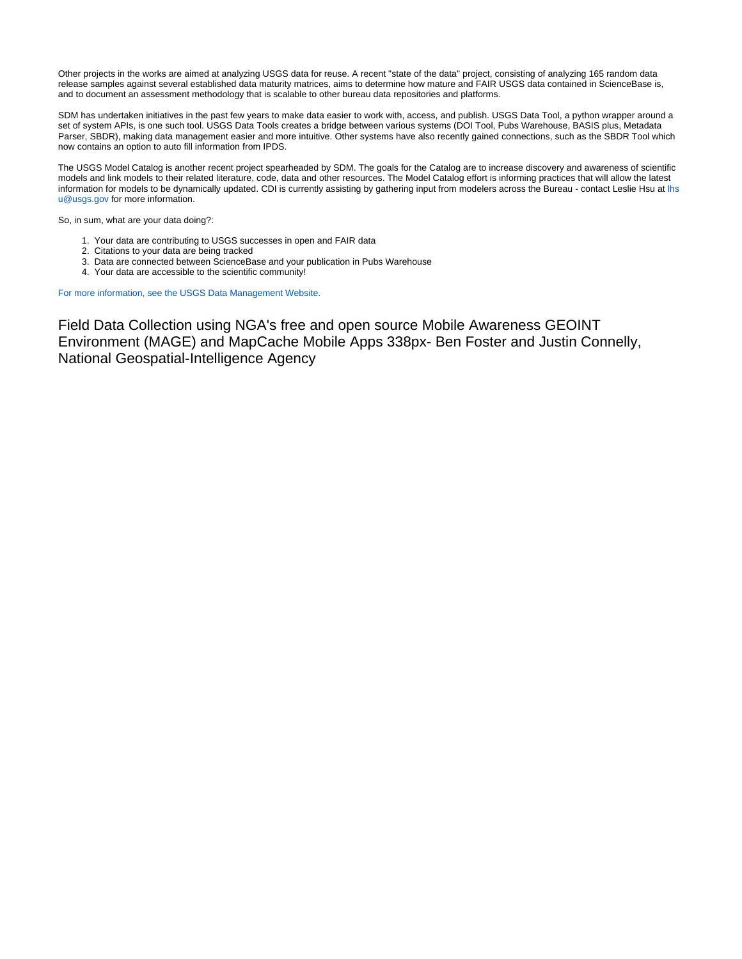Other projects in the works are aimed at analyzing USGS data for reuse. A recent "state of the data" project, consisting of analyzing 165 random data release samples against several established data maturity matrices, aims to determine how mature and FAIR USGS data contained in ScienceBase is, and to document an assessment methodology that is scalable to other bureau data repositories and platforms.

SDM has undertaken initiatives in the past few years to make data easier to work with, access, and publish. USGS Data Tool, a python wrapper around a set of system APIs, is one such tool. USGS Data Tools creates a bridge between various systems (DOI Tool, Pubs Warehouse, BASIS plus, Metadata Parser, SBDR), making data management easier and more intuitive. Other systems have also recently gained connections, such as the SBDR Tool which now contains an option to auto fill information from IPDS.

The USGS Model Catalog is another recent project spearheaded by SDM. The goals for the Catalog are to increase discovery and awareness of scientific models and link models to their related literature, code, data and other resources. The Model Catalog effort is informing practices that will allow the latest information for models to be dynamically updated. CDI is currently assisting by gathering input from modelers across the Bureau - contact Leslie Hsu at [lhs](mailto:lhsu@usgs.gov) [u@usgs.gov](mailto:lhsu@usgs.gov) for more information.

So, in sum, what are your data doing?:

- 1. Your data are contributing to USGS successes in open and FAIR data
- 2. Citations to your data are being tracked
- 3. Data are connected between ScienceBase and your publication in Pubs Warehouse
- 4. Your data are accessible to the scientific community!

[For more information, see the USGS Data Management Website.](https://www.usgs.gov/products/data-and-tools/data-management)

Field Data Collection using NGA's free and open source Mobile Awareness GEOINT Environment (MAGE) and MapCache Mobile Apps 338px- Ben Foster and Justin Connelly, National Geospatial-Intelligence Agency